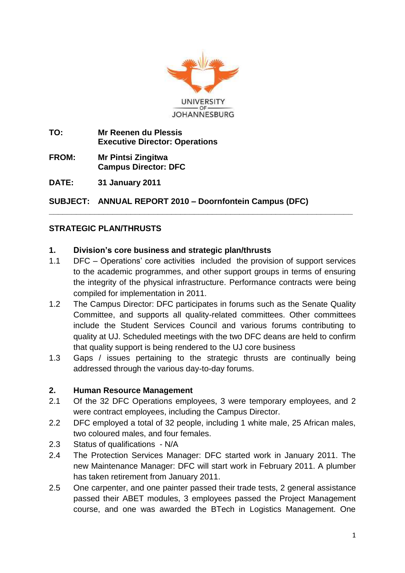

- **TO: Mr Reenen du Plessis Executive Director: Operations**
- **FROM: Mr Pintsi Zingitwa Campus Director: DFC**

**DATE: 31 January 2011**

**SUBJECT: ANNUAL REPORT 2010 – Doornfontein Campus (DFC)**

# **STRATEGIC PLAN/THRUSTS**

#### **1. Division's core business and strategic plan/thrusts**

1.1 DFC – Operations' core activities included the provision of support services to the academic programmes, and other support groups in terms of ensuring the integrity of the physical infrastructure. Performance contracts were being compiled for implementation in 2011.

**\_\_\_\_\_\_\_\_\_\_\_\_\_\_\_\_\_\_\_\_\_\_\_\_\_\_\_\_\_\_\_\_\_\_\_\_\_\_\_\_\_\_\_\_\_\_\_\_\_\_\_\_\_\_\_\_\_\_\_\_\_\_\_\_\_\_\_**

- 1.2 The Campus Director: DFC participates in forums such as the Senate Quality Committee, and supports all quality-related committees. Other committees include the Student Services Council and various forums contributing to quality at UJ. Scheduled meetings with the two DFC deans are held to confirm that quality support is being rendered to the UJ core business
- 1.3 Gaps / issues pertaining to the strategic thrusts are continually being addressed through the various day-to-day forums.

#### **2. Human Resource Management**

- 2.1 Of the 32 DFC Operations employees, 3 were temporary employees, and 2 were contract employees, including the Campus Director.
- 2.2 DFC employed a total of 32 people, including 1 white male, 25 African males, two coloured males, and four females.
- 2.3 Status of qualifications N/A
- 2.4 The Protection Services Manager: DFC started work in January 2011. The new Maintenance Manager: DFC will start work in February 2011. A plumber has taken retirement from January 2011.
- 2.5 One carpenter, and one painter passed their trade tests, 2 general assistance passed their ABET modules, 3 employees passed the Project Management course, and one was awarded the BTech in Logistics Management. One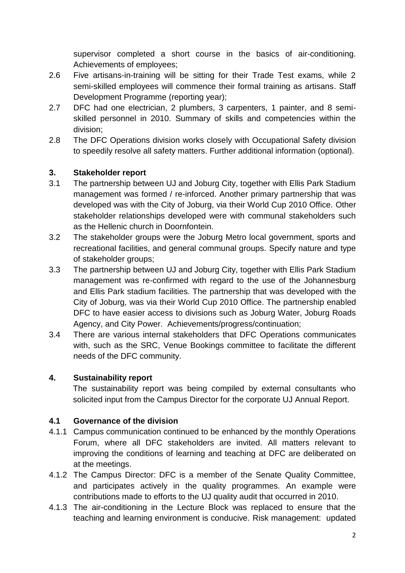supervisor completed a short course in the basics of air-conditioning. Achievements of employees;

- 2.6 Five artisans-in-training will be sitting for their Trade Test exams, while 2 semi-skilled employees will commence their formal training as artisans. Staff Development Programme (reporting year);
- 2.7 DFC had one electrician, 2 plumbers, 3 carpenters, 1 painter, and 8 semiskilled personnel in 2010. Summary of skills and competencies within the division;
- 2.8 The DFC Operations division works closely with Occupational Safety division to speedily resolve all safety matters. Further additional information (optional).

### **3. Stakeholder report**

- 3.1 The partnership between UJ and Joburg City, together with Ellis Park Stadium management was formed / re-inforced. Another primary partnership that was developed was with the City of Joburg, via their World Cup 2010 Office. Other stakeholder relationships developed were with communal stakeholders such as the Hellenic church in Doornfontein.
- 3.2 The stakeholder groups were the Joburg Metro local government, sports and recreational facilities, and general communal groups. Specify nature and type of stakeholder groups;
- 3.3 The partnership between UJ and Joburg City, together with Ellis Park Stadium management was re-confirmed with regard to the use of the Johannesburg and Ellis Park stadium facilities. The partnership that was developed with the City of Joburg, was via their World Cup 2010 Office. The partnership enabled DFC to have easier access to divisions such as Joburg Water, Joburg Roads Agency, and City Power. Achievements/progress/continuation;
- 3.4 There are various internal stakeholders that DFC Operations communicates with, such as the SRC, Venue Bookings committee to facilitate the different needs of the DFC community.

# **4. Sustainability report**

The sustainability report was being compiled by external consultants who solicited input from the Campus Director for the corporate UJ Annual Report.

#### **4.1 Governance of the division**

- 4.1.1 Campus communication continued to be enhanced by the monthly Operations Forum, where all DFC stakeholders are invited. All matters relevant to improving the conditions of learning and teaching at DFC are deliberated on at the meetings.
- 4.1.2 The Campus Director: DFC is a member of the Senate Quality Committee, and participates actively in the quality programmes. An example were contributions made to efforts to the UJ quality audit that occurred in 2010.
- 4.1.3 The air-conditioning in the Lecture Block was replaced to ensure that the teaching and learning environment is conducive. Risk management: updated